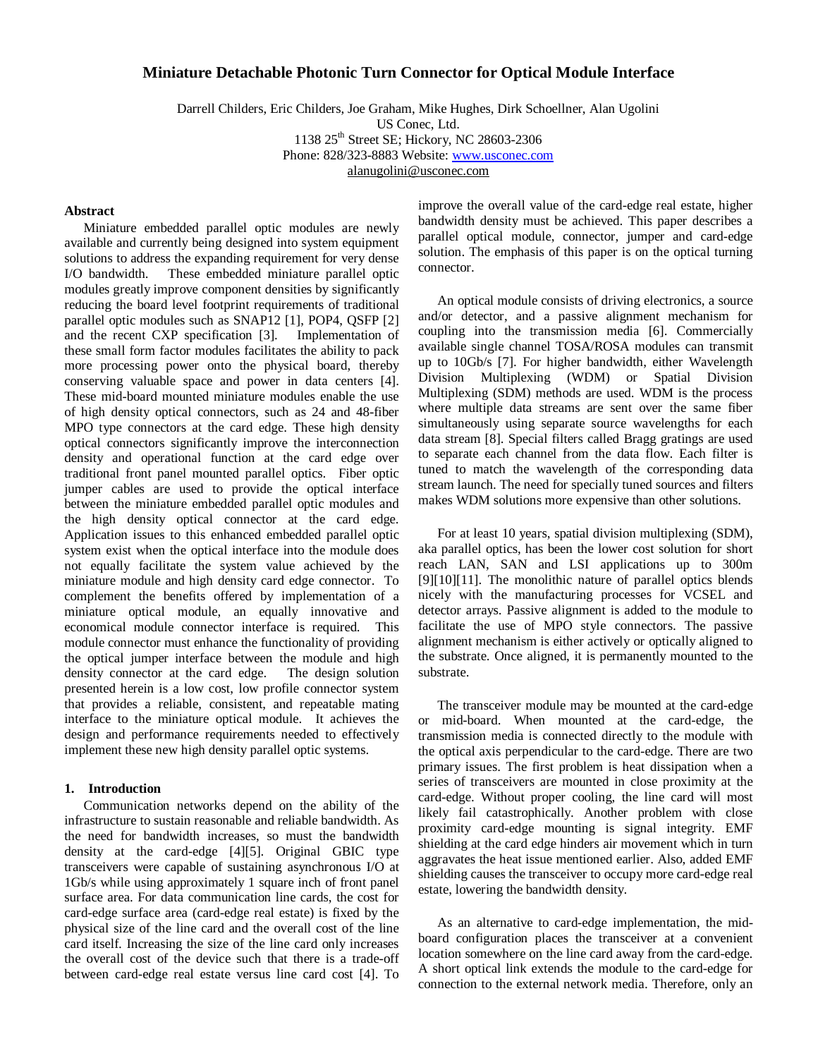# **Miniature Detachable Photonic Turn Connector for Optical Module Interface**

Darrell Childers, Eric Childers, Joe Graham, Mike Hughes, Dirk Schoellner, Alan Ugolini US Conec, Ltd. 1138 25th Street SE; Hickory, NC 28603-2306 Phone: 828/323-8883 Website: [www.usconec.com](http://www.usconec.com) [alanugolini@usconec.com](mailto:alanugolini@usconec.com)

#### **Abstract**

Miniature embedded parallel optic modules are newly available and currently being designed into system equipment solutions to address the expanding requirement for very dense I/O bandwidth. These embedded miniature parallel optic modules greatly improve component densities by significantly reducing the board level footprint requirements of traditional parallel optic modules such as SNAP12 [1], POP4, QSFP [2] and the recent CXP specification [3]. Implementation of these small form factor modules facilitates the ability to pack more processing power onto the physical board, thereby conserving valuable space and power in data centers [4]. These mid-board mounted miniature modules enable the use of high density optical connectors, such as 24 and 48-fiber MPO type connectors at the card edge. These high density optical connectors significantly improve the interconnection density and operational function at the card edge over traditional front panel mounted parallel optics. Fiber optic jumper cables are used to provide the optical interface between the miniature embedded parallel optic modules and the high density optical connector at the card edge. Application issues to this enhanced embedded parallel optic system exist when the optical interface into the module does not equally facilitate the system value achieved by the miniature module and high density card edge connector. To complement the benefits offered by implementation of a miniature optical module, an equally innovative and economical module connector interface is required. This module connector must enhance the functionality of providing the optical jumper interface between the module and high density connector at the card edge. The design solution presented herein is a low cost, low profile connector system that provides a reliable, consistent, and repeatable mating interface to the miniature optical module. It achieves the design and performance requirements needed to effectively implement these new high density parallel optic systems.

## **1. Introduction**

Communication networks depend on the ability of the infrastructure to sustain reasonable and reliable bandwidth. As the need for bandwidth increases, so must the bandwidth density at the card-edge [4][5]. Original GBIC type transceivers were capable of sustaining asynchronous I/O at 1Gb/s while using approximately 1 square inch of front panel surface area. For data communication line cards, the cost for card-edge surface area (card-edge real estate) is fixed by the physical size of the line card and the overall cost of the line card itself. Increasing the size of the line card only increases the overall cost of the device such that there is a trade-off between card-edge real estate versus line card cost [4]. To improve the overall value of the card-edge real estate, higher bandwidth density must be achieved. This paper describes a parallel optical module, connector, jumper and card-edge solution. The emphasis of this paper is on the optical turning connector.

An optical module consists of driving electronics, a source and/or detector, and a passive alignment mechanism for coupling into the transmission media [6]. Commercially available single channel TOSA/ROSA modules can transmit up to 10Gb/s [7]. For higher bandwidth, either Wavelength Division Multiplexing (WDM) or Spatial Division Multiplexing (SDM) methods are used. WDM is the process where multiple data streams are sent over the same fiber simultaneously using separate source wavelengths for each data stream [8]. Special filters called Bragg gratings are used to separate each channel from the data flow. Each filter is tuned to match the wavelength of the corresponding data stream launch. The need for specially tuned sources and filters makes WDM solutions more expensive than other solutions.

For at least 10 years, spatial division multiplexing (SDM), aka parallel optics, has been the lower cost solution for short reach LAN, SAN and LSI applications up to 300m [9][10][11]. The monolithic nature of parallel optics blends nicely with the manufacturing processes for VCSEL and detector arrays. Passive alignment is added to the module to facilitate the use of MPO style connectors. The passive alignment mechanism is either actively or optically aligned to the substrate. Once aligned, it is permanently mounted to the substrate.

The transceiver module may be mounted at the card-edge or mid-board. When mounted at the card-edge, the transmission media is connected directly to the module with the optical axis perpendicular to the card-edge. There are two primary issues. The first problem is heat dissipation when a series of transceivers are mounted in close proximity at the card-edge. Without proper cooling, the line card will most likely fail catastrophically. Another problem with close proximity card-edge mounting is signal integrity. EMF shielding at the card edge hinders air movement which in turn aggravates the heat issue mentioned earlier. Also, added EMF shielding causes the transceiver to occupy more card-edge real estate, lowering the bandwidth density.

As an alternative to card-edge implementation, the midboard configuration places the transceiver at a convenient location somewhere on the line card away from the card-edge. A short optical link extends the module to the card-edge for connection to the external network media. Therefore, only an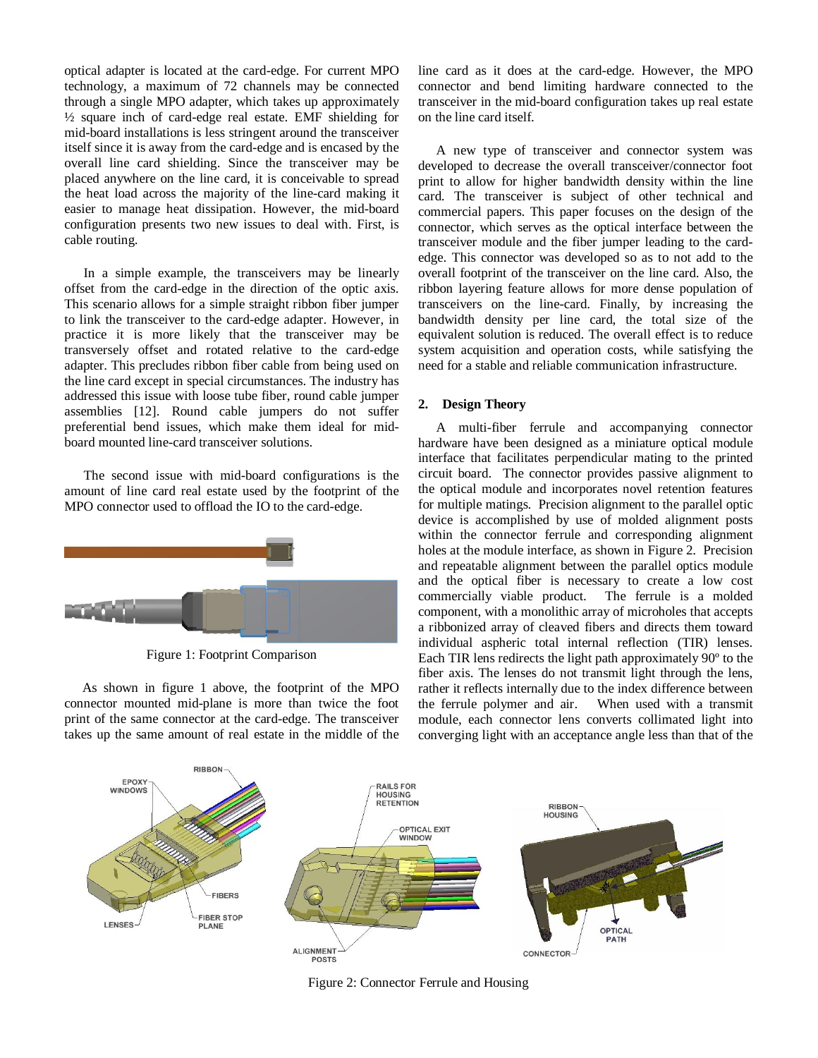optical adapter is located at the card-edge. For current MPO technology, a maximum of 72 channels may be connected through a single MPO adapter, which takes up approximately ½ square inch of card-edge real estate. EMF shielding for mid-board installations is less stringent around the transceiver itself since it is away from the card-edge and is encased by the overall line card shielding. Since the transceiver may be placed anywhere on the line card, it is conceivable to spread the heat load across the majority of the line-card making it easier to manage heat dissipation. However, the mid-board configuration presents two new issues to deal with. First, is cable routing.

In a simple example, the transceivers may be linearly offset from the card-edge in the direction of the optic axis. This scenario allows for a simple straight ribbon fiber jumper to link the transceiver to the card-edge adapter. However, in practice it is more likely that the transceiver may be transversely offset and rotated relative to the card-edge adapter. This precludes ribbon fiber cable from being used on the line card except in special circumstances. The industry has addressed this issue with loose tube fiber, round cable jumper assemblies [12]. Round cable jumpers do not suffer preferential bend issues, which make them ideal for midboard mounted line-card transceiver solutions.

The second issue with mid-board configurations is the amount of line card real estate used by the footprint of the MPO connector used to offload the IO to the card-edge.



Figure 1: Footprint Comparison

As shown in figure 1 above, the footprint of the MPO connector mounted mid-plane is more than twice the foot print of the same connector at the card-edge. The transceiver takes up the same amount of real estate in the middle of the line card as it does at the card-edge. However, the MPO connector and bend limiting hardware connected to the transceiver in the mid-board configuration takes up real estate on the line card itself.

A new type of transceiver and connector system was developed to decrease the overall transceiver/connector foot print to allow for higher bandwidth density within the line card. The transceiver is subject of other technical and commercial papers. This paper focuses on the design of the connector, which serves as the optical interface between the transceiver module and the fiber jumper leading to the cardedge. This connector was developed so as to not add to the overall footprint of the transceiver on the line card. Also, the ribbon layering feature allows for more dense population of transceivers on the line-card. Finally, by increasing the bandwidth density per line card, the total size of the equivalent solution is reduced. The overall effect is to reduce system acquisition and operation costs, while satisfying the need for a stable and reliable communication infrastructure.

# **2. Design Theory**

A multi-fiber ferrule and accompanying connector hardware have been designed as a miniature optical module interface that facilitates perpendicular mating to the printed circuit board. The connector provides passive alignment to the optical module and incorporates novel retention features for multiple matings. Precision alignment to the parallel optic device is accomplished by use of molded alignment posts within the connector ferrule and corresponding alignment holes at the module interface, as shown in Figure 2. Precision and repeatable alignment between the parallel optics module and the optical fiber is necessary to create a low cost commercially viable product. The ferrule is a molded component, with a monolithic array of microholes that accepts a ribbonized array of cleaved fibers and directs them toward individual aspheric total internal reflection (TIR) lenses. Each TIR lens redirects the light path approximately 90º to the fiber axis. The lenses do not transmit light through the lens, rather it reflects internally due to the index difference between the ferrule polymer and air. When used with a transmit module, each connector lens converts collimated light into converging light with an acceptance angle less than that of the



Figure 2: Connector Ferrule and Housing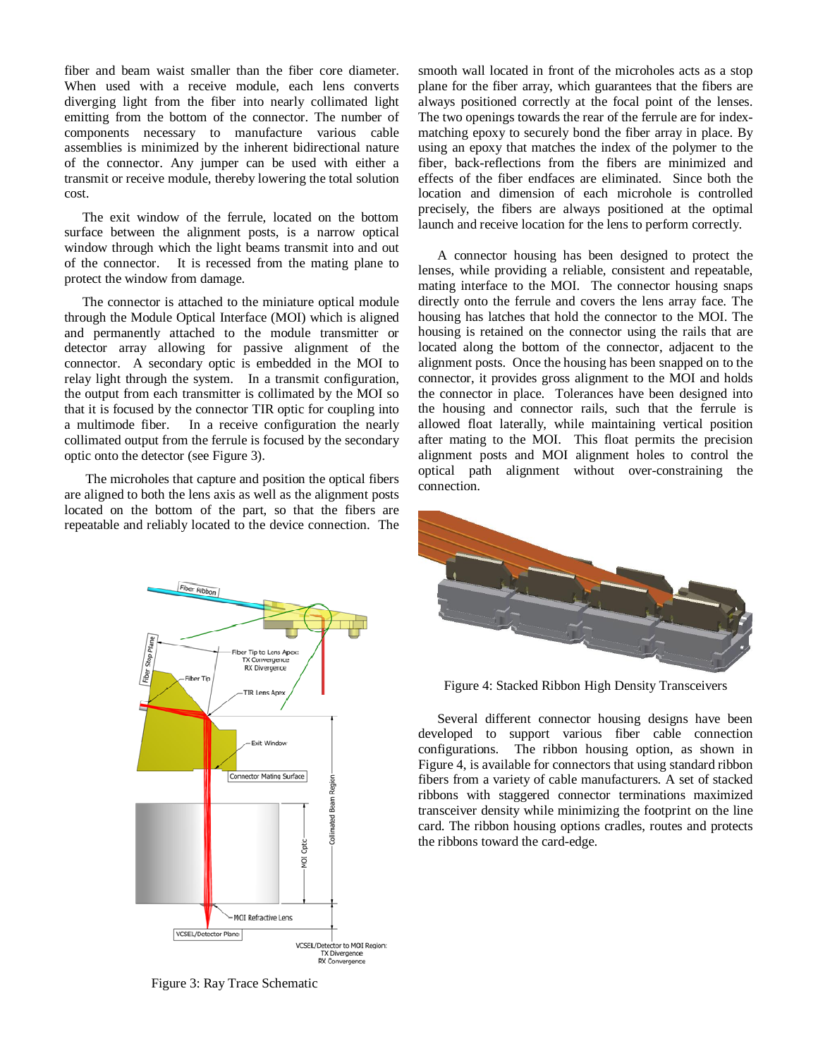fiber and beam waist smaller than the fiber core diameter. When used with a receive module, each lens converts diverging light from the fiber into nearly collimated light emitting from the bottom of the connector. The number of components necessary to manufacture various cable assemblies is minimized by the inherent bidirectional nature of the connector. Any jumper can be used with either a transmit or receive module, thereby lowering the total solution cost.

The exit window of the ferrule, located on the bottom surface between the alignment posts, is a narrow optical window through which the light beams transmit into and out of the connector. It is recessed from the mating plane to protect the window from damage.

The connector is attached to the miniature optical module through the Module Optical Interface (MOI) which is aligned and permanently attached to the module transmitter or detector array allowing for passive alignment of the connector. A secondary optic is embedded in the MOI to relay light through the system. In a transmit configuration, the output from each transmitter is collimated by the MOI so that it is focused by the connector TIR optic for coupling into a multimode fiber. In a receive configuration the nearly collimated output from the ferrule is focused by the secondary optic onto the detector (see Figure 3).

The microholes that capture and position the optical fibers are aligned to both the lens axis as well as the alignment posts located on the bottom of the part, so that the fibers are repeatable and reliably located to the device connection. The



smooth wall located in front of the microholes acts as a stop plane for the fiber array, which guarantees that the fibers are always positioned correctly at the focal point of the lenses. The two openings towards the rear of the ferrule are for indexmatching epoxy to securely bond the fiber array in place. By using an epoxy that matches the index of the polymer to the fiber, back-reflections from the fibers are minimized and effects of the fiber endfaces are eliminated. Since both the location and dimension of each microhole is controlled precisely, the fibers are always positioned at the optimal launch and receive location for the lens to perform correctly.

A connector housing has been designed to protect the lenses, while providing a reliable, consistent and repeatable, mating interface to the MOI. The connector housing snaps directly onto the ferrule and covers the lens array face. The housing has latches that hold the connector to the MOI. The housing is retained on the connector using the rails that are located along the bottom of the connector, adjacent to the alignment posts. Once the housing has been snapped on to the connector, it provides gross alignment to the MOI and holds the connector in place. Tolerances have been designed into the housing and connector rails, such that the ferrule is allowed float laterally, while maintaining vertical position after mating to the MOI. This float permits the precision alignment posts and MOI alignment holes to control the optical path alignment without over-constraining the connection.



Figure 4: Stacked Ribbon High Density Transceivers

Several different connector housing designs have been developed to support various fiber cable connection configurations. The ribbon housing option, as shown in Figure 4, is available for connectors that using standard ribbon fibers from a variety of cable manufacturers. A set of stacked ribbons with staggered connector terminations maximized transceiver density while minimizing the footprint on the line card. The ribbon housing options cradles, routes and protects the ribbons toward the card-edge.

Figure 3: Ray Trace Schematic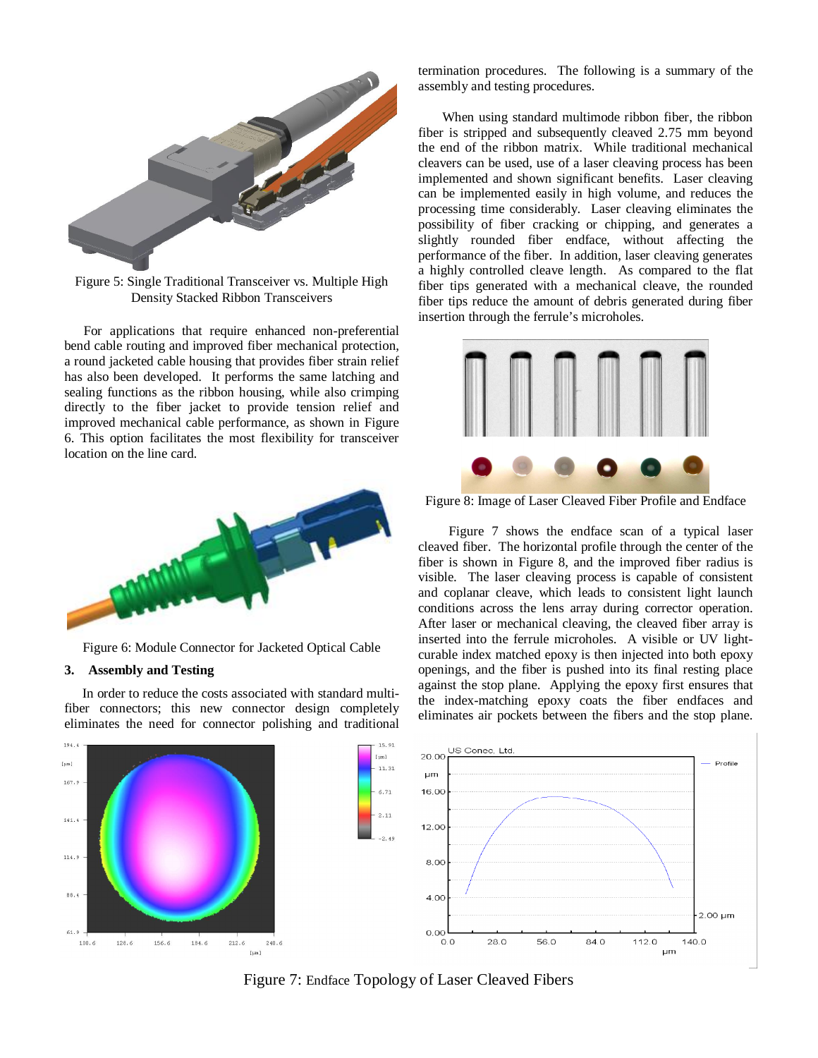

Figure 5: Single Traditional Transceiver vs. Multiple High Density Stacked Ribbon Transceivers

For applications that require enhanced non-preferential bend cable routing and improved fiber mechanical protection, a round jacketed cable housing that provides fiber strain relief has also been developed. It performs the same latching and sealing functions as the ribbon housing, while also crimping directly to the fiber jacket to provide tension relief and improved mechanical cable performance, as shown in Figure 6. This option facilitates the most flexibility for transceiver location on the line card.



Figure 6: Module Connector for Jacketed Optical Cable

### **3. Assembly and Testing**

In order to reduce the costs associated with standard multifiber connectors; this new connector design completely eliminates the need for connector polishing and traditional





termination procedures. The following is a summary of the assembly and testing procedures.

When using standard multimode ribbon fiber, the ribbon fiber is stripped and subsequently cleaved 2.75 mm beyond the end of the ribbon matrix. While traditional mechanical cleavers can be used, use of a laser cleaving process has been implemented and shown significant benefits. Laser cleaving can be implemented easily in high volume, and reduces the processing time considerably. Laser cleaving eliminates the possibility of fiber cracking or chipping, and generates a slightly rounded fiber endface, without affecting the performance of the fiber. In addition, laser cleaving generates a highly controlled cleave length. As compared to the flat fiber tips generated with a mechanical cleave, the rounded fiber tips reduce the amount of debris generated during fiber insertion through the ferrule's microholes.



Figure 8: Image of Laser Cleaved Fiber Profile and Endface

 Figure 7 shows the endface scan of a typical laser cleaved fiber. The horizontal profile through the center of the fiber is shown in Figure 8, and the improved fiber radius is visible. The laser cleaving process is capable of consistent and coplanar cleave, which leads to consistent light launch conditions across the lens array during corrector operation. After laser or mechanical cleaving, the cleaved fiber array is inserted into the ferrule microholes. A visible or UV lightcurable index matched epoxy is then injected into both epoxy openings, and the fiber is pushed into its final resting place against the stop plane. Applying the epoxy first ensures that the index-matching epoxy coats the fiber endfaces and eliminates air pockets between the fibers and the stop plane.



Figure 7: Endface Topology of Laser Cleaved Fibers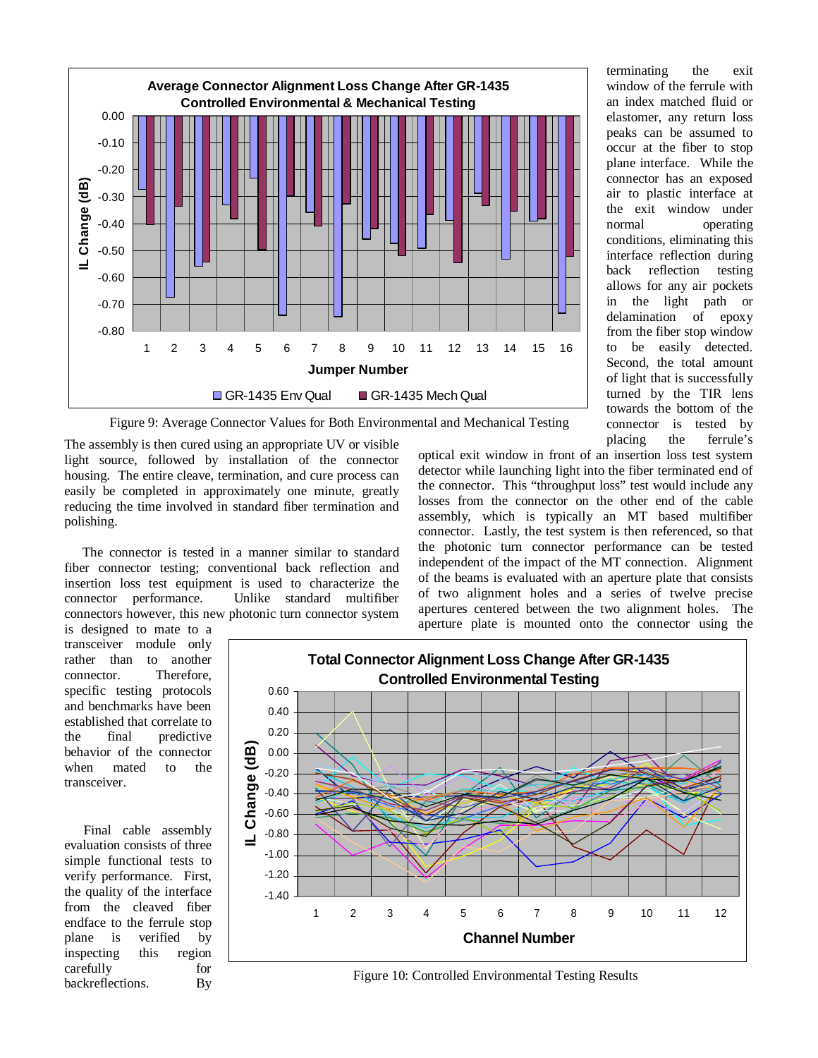

Figure 9: Average Connector Values for Both Environmental and Mechanical Testing

The assembly is then cured using an appropriate UV or visible light source, followed by installation of the connector housing. The entire cleave, termination, and cure process can easily be completed in approximately one minute, greatly reducing the time involved in standard fiber termination and polishing.

The connector is tested in a manner similar to standard fiber connector testing; conventional back reflection and insertion loss test equipment is used to characterize the connector performance. Unlike standard multifiber connectors however, this new photonic turn connector system

terminating the exit window of the ferrule with an index matched fluid or elastomer, any return loss peaks can be assumed to occur at the fiber to stop plane interface. While the connector has an exposed air to plastic interface at the exit window under normal operating conditions, eliminating this interface reflection during back reflection testing allows for any air pockets in the light path or delamination of epoxy from the fiber stop window to be easily detected. Second, the total amount of light that is successfully turned by the TIR lens towards the bottom of the connector is tested by placing the ferrule's

optical exit window in front of an insertion loss test system detector while launching light into the fiber terminated end of the connector. This "throughput loss" test would include any losses from the connector on the other end of the cable assembly, which is typically an MT based multifiber connector. Lastly, the test system is then referenced, so that the photonic turn connector performance can be tested independent of the impact of the MT connection. Alignment of the beams is evaluated with an aperture plate that consists of two alignment holes and a series of twelve precise apertures centered between the two alignment holes. The aperture plate is mounted onto the connector using the

is designed to mate to a transceiver module only rather than to another connector. Therefore, specific testing protocols and benchmarks have been established that correlate to the final predictive behavior of the connector when mated to the transceiver.

Final cable assembly evaluation consists of three simple functional tests to verify performance. First, the quality of the interface from the cleaved fiber endface to the ferrule stop plane is verified by inspecting this region carefully for backreflections. By



Figure 10: Controlled Environmental Testing Results